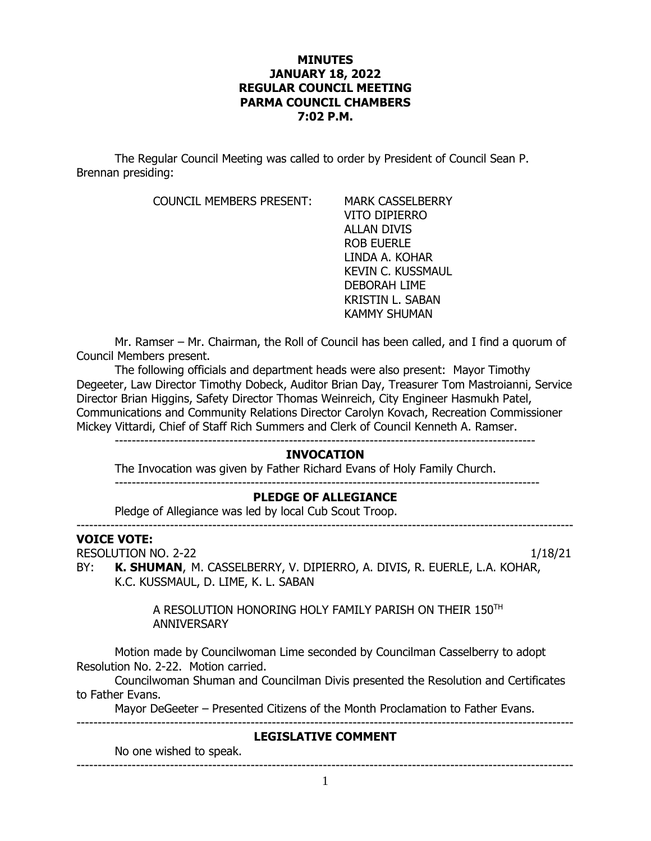## **MINUTES JANUARY 18, 2022 REGULAR COUNCIL MEETING PARMA COUNCIL CHAMBERS 7:02 P.M.**

The Regular Council Meeting was called to order by President of Council Sean P. Brennan presiding:

COUNCIL MEMBERS PRESENT: MARK CASSELBERRY

VITO DIPIERRO ALLAN DIVIS ROB EUERLE LINDA A. KOHAR KEVIN C. KUSSMAUL DEBORAH LIME KRISTIN L. SABAN KAMMY SHUMAN

Mr. Ramser – Mr. Chairman, the Roll of Council has been called, and I find a quorum of Council Members present.

The following officials and department heads were also present: Mayor Timothy Degeeter, Law Director Timothy Dobeck, Auditor Brian Day, Treasurer Tom Mastroianni, Service Director Brian Higgins, Safety Director Thomas Weinreich, City Engineer Hasmukh Patel, Communications and Community Relations Director Carolyn Kovach, Recreation Commissioner Mickey Vittardi, Chief of Staff Rich Summers and Clerk of Council Kenneth A. Ramser.

### **INVOCATION**

The Invocation was given by Father Richard Evans of Holy Family Church. ----------------------------------------------------------------------------------------------------

## **PLEDGE OF ALLEGIANCE**

---------------------------------------------------------------------------------------------------------------------

Pledge of Allegiance was led by local Cub Scout Troop.

#### **VOICE VOTE:**

RESOLUTION NO. 2-22 1/18/21

BY: **K. SHUMAN**, M. CASSELBERRY, V. DIPIERRO, A. DIVIS, R. EUERLE, L.A. KOHAR, K.C. KUSSMAUL, D. LIME, K. L. SABAN

> A RESOLUTION HONORING HOLY FAMILY PARISH ON THEIR 150TH **ANNIVERSARY**

Motion made by Councilwoman Lime seconded by Councilman Casselberry to adopt Resolution No. 2-22. Motion carried.

Councilwoman Shuman and Councilman Divis presented the Resolution and Certificates to Father Evans.

Mayor DeGeeter – Presented Citizens of the Month Proclamation to Father Evans.

---------------------------------------------------------------------------------------------------------------------

## **LEGISLATIVE COMMENT**

No one wished to speak. ---------------------------------------------------------------------------------------------------------------------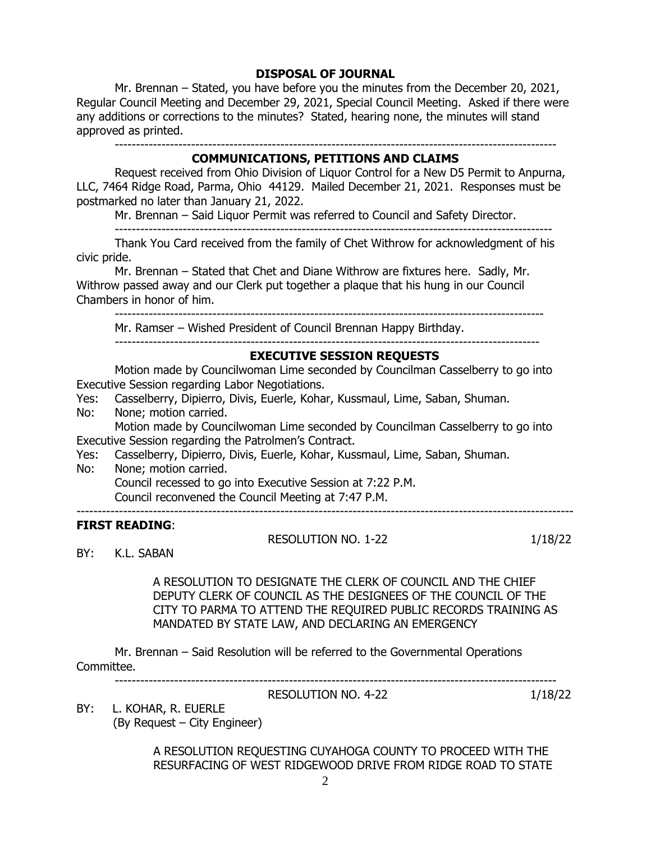## **DISPOSAL OF JOURNAL**

Mr. Brennan – Stated, you have before you the minutes from the December 20, 2021, Regular Council Meeting and December 29, 2021, Special Council Meeting. Asked if there were any additions or corrections to the minutes? Stated, hearing none, the minutes will stand approved as printed.

--------------------------------------------------------------------------------------------------------

### **COMMUNICATIONS, PETITIONS AND CLAIMS**

Request received from Ohio Division of Liquor Control for a New D5 Permit to Anpurna, LLC, 7464 Ridge Road, Parma, Ohio 44129. Mailed December 21, 2021. Responses must be postmarked no later than January 21, 2022.

Mr. Brennan – Said Liquor Permit was referred to Council and Safety Director.

Thank You Card received from the family of Chet Withrow for acknowledgment of his civic pride.

Mr. Brennan – Stated that Chet and Diane Withrow are fixtures here. Sadly, Mr. Withrow passed away and our Clerk put together a plaque that his hung in our Council Chambers in honor of him.

 $-$ 

Mr. Ramser – Wished President of Council Brennan Happy Birthday.

-------------------------------------------------------------------------------------------------------

----------------------------------------------------------------------------------------------------

### **EXECUTIVE SESSION REQUESTS**

Motion made by Councilwoman Lime seconded by Councilman Casselberry to go into Executive Session regarding Labor Negotiations.

Yes: Casselberry, Dipierro, Divis, Euerle, Kohar, Kussmaul, Lime, Saban, Shuman.

No: None; motion carried.

Motion made by Councilwoman Lime seconded by Councilman Casselberry to go into Executive Session regarding the Patrolmen's Contract.

Yes: Casselberry, Dipierro, Divis, Euerle, Kohar, Kussmaul, Lime, Saban, Shuman.

No: None; motion carried.

Council recessed to go into Executive Session at 7:22 P.M.

Council reconvened the Council Meeting at 7:47 P.M.

### **FIRST READING**:

RESOLUTION NO. 1-22 1/18/22

---------------------------------------------------------------------------------------------------------------------

BY: K.L. SABAN

A RESOLUTION TO DESIGNATE THE CLERK OF COUNCIL AND THE CHIEF DEPUTY CLERK OF COUNCIL AS THE DESIGNEES OF THE COUNCIL OF THE CITY TO PARMA TO ATTEND THE REQUIRED PUBLIC RECORDS TRAINING AS MANDATED BY STATE LAW, AND DECLARING AN EMERGENCY

Mr. Brennan – Said Resolution will be referred to the Governmental Operations Committee.

--------------------------------------------------------------------------------------------------------

RESOLUTION NO. 4-22 1/18/22

BY: L. KOHAR, R. EUERLE (By Request – City Engineer)

> A RESOLUTION REQUESTING CUYAHOGA COUNTY TO PROCEED WITH THE RESURFACING OF WEST RIDGEWOOD DRIVE FROM RIDGE ROAD TO STATE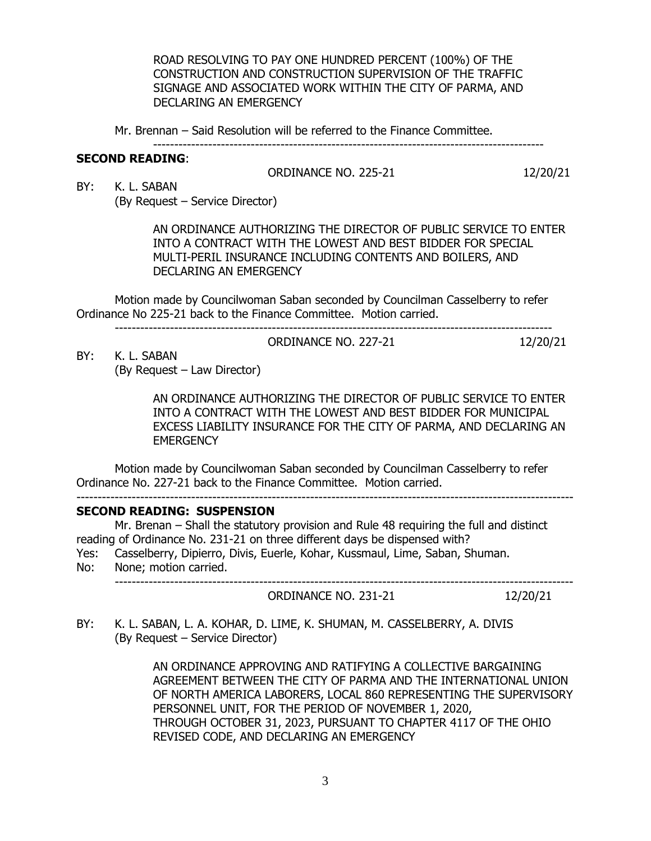ROAD RESOLVING TO PAY ONE HUNDRED PERCENT (100%) OF THE CONSTRUCTION AND CONSTRUCTION SUPERVISION OF THE TRAFFIC SIGNAGE AND ASSOCIATED WORK WITHIN THE CITY OF PARMA, AND DECLARING AN EMERGENCY

Mr. Brennan – Said Resolution will be referred to the Finance Committee.

# --------------------------------------------------------------------------------------------

## **SECOND READING**:

ORDINANCE NO. 225-21 12/20/21

BY: K. L. SABAN (By Request – Service Director)

> AN ORDINANCE AUTHORIZING THE DIRECTOR OF PUBLIC SERVICE TO ENTER INTO A CONTRACT WITH THE LOWEST AND BEST BIDDER FOR SPECIAL MULTI-PERIL INSURANCE INCLUDING CONTENTS AND BOILERS, AND DECLARING AN EMERGENCY

Motion made by Councilwoman Saban seconded by Councilman Casselberry to refer Ordinance No 225-21 back to the Finance Committee. Motion carried.

-------------------------------------------------------------------------------------------------------

ORDINANCE NO. 227-21 12/20/21

BY: K. L. SABAN (By Request – Law Director)

> AN ORDINANCE AUTHORIZING THE DIRECTOR OF PUBLIC SERVICE TO ENTER INTO A CONTRACT WITH THE LOWEST AND BEST BIDDER FOR MUNICIPAL EXCESS LIABILITY INSURANCE FOR THE CITY OF PARMA, AND DECLARING AN **EMERGENCY**

Motion made by Councilwoman Saban seconded by Councilman Casselberry to refer Ordinance No. 227-21 back to the Finance Committee. Motion carried.

---------------------------------------------------------------------------------------------------------------------

## **SECOND READING: SUSPENSION**

Mr. Brenan – Shall the statutory provision and Rule 48 requiring the full and distinct reading of Ordinance No. 231-21 on three different days be dispensed with?

Yes: Casselberry, Dipierro, Divis, Euerle, Kohar, Kussmaul, Lime, Saban, Shuman. No: None; motion carried.

------------------------------------------------------------------------------------------------------------

ORDINANCE NO. 231-21 12/20/21

BY: K. L. SABAN, L. A. KOHAR, D. LIME, K. SHUMAN, M. CASSELBERRY, A. DIVIS (By Request – Service Director)

> AN ORDINANCE APPROVING AND RATIFYING A COLLECTIVE BARGAINING AGREEMENT BETWEEN THE CITY OF PARMA AND THE INTERNATIONAL UNION OF NORTH AMERICA LABORERS, LOCAL 860 REPRESENTING THE SUPERVISORY PERSONNEL UNIT, FOR THE PERIOD OF NOVEMBER 1, 2020, THROUGH OCTOBER 31, 2023, PURSUANT TO CHAPTER 4117 OF THE OHIO REVISED CODE, AND DECLARING AN EMERGENCY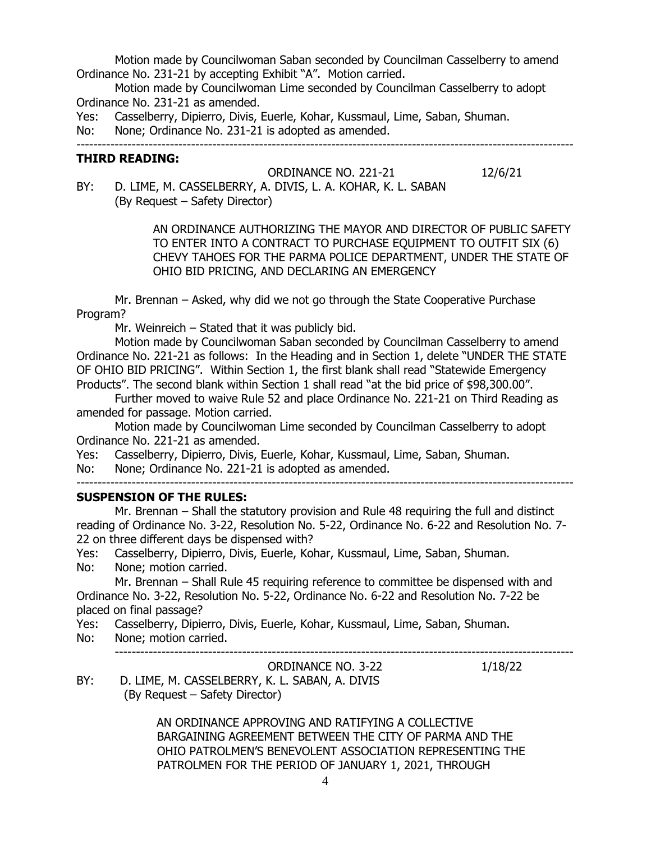Motion made by Councilwoman Saban seconded by Councilman Casselberry to amend Ordinance No. 231-21 by accepting Exhibit "A". Motion carried.

Motion made by Councilwoman Lime seconded by Councilman Casselberry to adopt Ordinance No. 231-21 as amended.

Yes: Casselberry, Dipierro, Divis, Euerle, Kohar, Kussmaul, Lime, Saban, Shuman.

No: None; Ordinance No. 231-21 is adopted as amended.

---------------------------------------------------------------------------------------------------------------------

## **THIRD READING:**

ORDINANCE NO. 221-21 12/6/21

BY: D. LIME, M. CASSELBERRY, A. DIVIS, L. A. KOHAR, K. L. SABAN (By Request – Safety Director)

> AN ORDINANCE AUTHORIZING THE MAYOR AND DIRECTOR OF PUBLIC SAFETY TO ENTER INTO A CONTRACT TO PURCHASE EQUIPMENT TO OUTFIT SIX (6) CHEVY TAHOES FOR THE PARMA POLICE DEPARTMENT, UNDER THE STATE OF OHIO BID PRICING, AND DECLARING AN EMERGENCY

Mr. Brennan – Asked, why did we not go through the State Cooperative Purchase Program?

Mr. Weinreich – Stated that it was publicly bid.

Motion made by Councilwoman Saban seconded by Councilman Casselberry to amend Ordinance No. 221-21 as follows: In the Heading and in Section 1, delete "UNDER THE STATE OF OHIO BID PRICING". Within Section 1, the first blank shall read "Statewide Emergency Products". The second blank within Section 1 shall read "at the bid price of \$98,300.00".

Further moved to waive Rule 52 and place Ordinance No. 221-21 on Third Reading as amended for passage. Motion carried.

Motion made by Councilwoman Lime seconded by Councilman Casselberry to adopt Ordinance No. 221-21 as amended.

Yes: Casselberry, Dipierro, Divis, Euerle, Kohar, Kussmaul, Lime, Saban, Shuman.

No: None; Ordinance No. 221-21 is adopted as amended.

## **SUSPENSION OF THE RULES:**

Mr. Brennan – Shall the statutory provision and Rule 48 requiring the full and distinct reading of Ordinance No. 3-22, Resolution No. 5-22, Ordinance No. 6-22 and Resolution No. 7- 22 on three different days be dispensed with?

Yes: Casselberry, Dipierro, Divis, Euerle, Kohar, Kussmaul, Lime, Saban, Shuman.

No: None; motion carried.

Mr. Brennan – Shall Rule 45 requiring reference to committee be dispensed with and Ordinance No. 3-22, Resolution No. 5-22, Ordinance No. 6-22 and Resolution No. 7-22 be placed on final passage?

Yes: Casselberry, Dipierro, Divis, Euerle, Kohar, Kussmaul, Lime, Saban, Shuman.

No: None; motion carried.

------------------------------------------------------------------------------------------------------------

ORDINANCE NO. 3-22 1/18/22

BY: D. LIME, M. CASSELBERRY, K. L. SABAN, A. DIVIS (By Request – Safety Director)

> AN ORDINANCE APPROVING AND RATIFYING A COLLECTIVE BARGAINING AGREEMENT BETWEEN THE CITY OF PARMA AND THE OHIO PATROLMEN'S BENEVOLENT ASSOCIATION REPRESENTING THE PATROLMEN FOR THE PERIOD OF JANUARY 1, 2021, THROUGH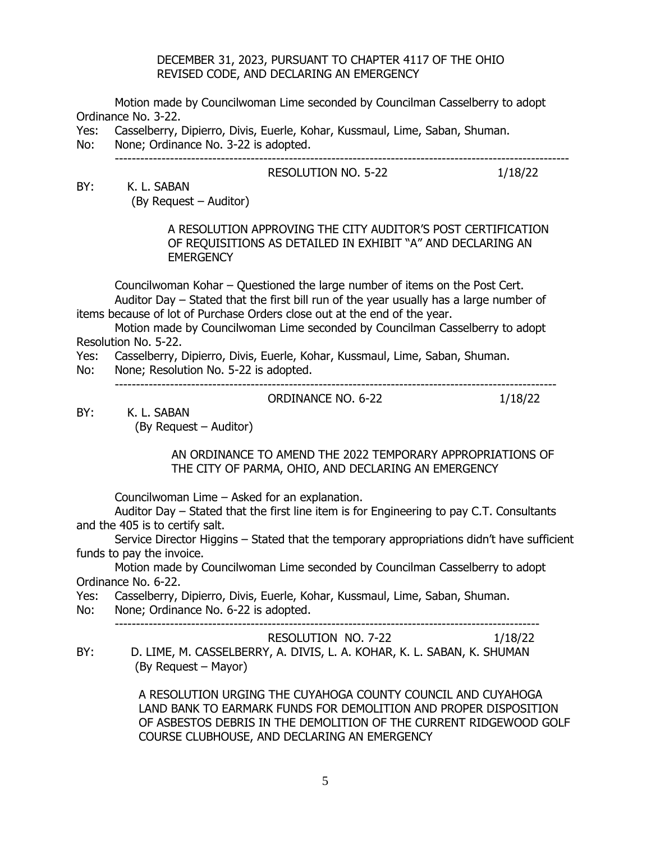### DECEMBER 31, 2023, PURSUANT TO CHAPTER 4117 OF THE OHIO REVISED CODE, AND DECLARING AN EMERGENCY

Motion made by Councilwoman Lime seconded by Councilman Casselberry to adopt Ordinance No. 3-22.

- Yes: Casselberry, Dipierro, Divis, Euerle, Kohar, Kussmaul, Lime, Saban, Shuman.
- No: None; Ordinance No. 3-22 is adopted.

#### ----------------------------------------------------------------------------------------------------------- RESOLUTION NO. 5-22 1/18/22

BY: K. L. SABAN (By Request – Auditor)

> A RESOLUTION APPROVING THE CITY AUDITOR'S POST CERTIFICATION OF REQUISITIONS AS DETAILED IN EXHIBIT "A" AND DECLARING AN **EMERGENCY**

Councilwoman Kohar – Questioned the large number of items on the Post Cert. Auditor Day – Stated that the first bill run of the year usually has a large number of items because of lot of Purchase Orders close out at the end of the year.

Motion made by Councilwoman Lime seconded by Councilman Casselberry to adopt Resolution No. 5-22.

- Yes: Casselberry, Dipierro, Divis, Euerle, Kohar, Kussmaul, Lime, Saban, Shuman.
- No: None; Resolution No. 5-22 is adopted.

--------------------------------------------------------------------------------------------------------

ORDINANCE NO. 6-22 1/18/22

BY: K. L. SABAN

(By Request – Auditor)

 AN ORDINANCE TO AMEND THE 2022 TEMPORARY APPROPRIATIONS OF THE CITY OF PARMA, OHIO, AND DECLARING AN EMERGENCY

Councilwoman Lime – Asked for an explanation.

Auditor Day – Stated that the first line item is for Engineering to pay C.T. Consultants and the 405 is to certify salt.

Service Director Higgins – Stated that the temporary appropriations didn't have sufficient funds to pay the invoice.

Motion made by Councilwoman Lime seconded by Councilman Casselberry to adopt Ordinance No. 6-22.

Yes: Casselberry, Dipierro, Divis, Euerle, Kohar, Kussmaul, Lime, Saban, Shuman.

No: None; Ordinance No. 6-22 is adopted.

----------------------------------------------------------------------------------------------------

RESOLUTION NO. 7-22 1/18/22 BY: D. LIME, M. CASSELBERRY, A. DIVIS, L. A. KOHAR, K. L. SABAN, K. SHUMAN (By Request – Mayor)

> A RESOLUTION URGING THE CUYAHOGA COUNTY COUNCIL AND CUYAHOGA LAND BANK TO EARMARK FUNDS FOR DEMOLITION AND PROPER DISPOSITION OF ASBESTOS DEBRIS IN THE DEMOLITION OF THE CURRENT RIDGEWOOD GOLF COURSE CLUBHOUSE, AND DECLARING AN EMERGENCY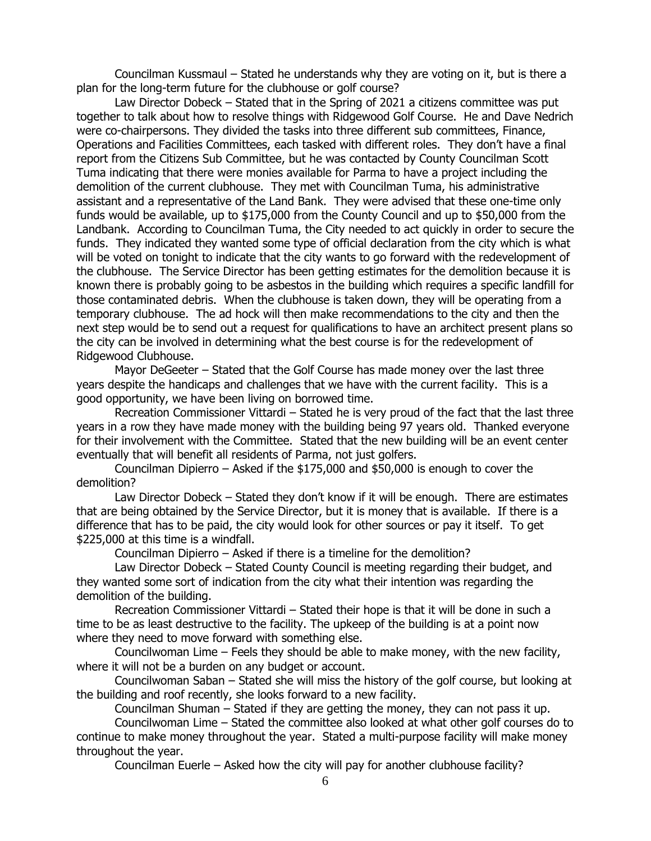Councilman Kussmaul – Stated he understands why they are voting on it, but is there a plan for the long-term future for the clubhouse or golf course?

Law Director Dobeck – Stated that in the Spring of 2021 a citizens committee was put together to talk about how to resolve things with Ridgewood Golf Course. He and Dave Nedrich were co-chairpersons. They divided the tasks into three different sub committees, Finance, Operations and Facilities Committees, each tasked with different roles. They don't have a final report from the Citizens Sub Committee, but he was contacted by County Councilman Scott Tuma indicating that there were monies available for Parma to have a project including the demolition of the current clubhouse. They met with Councilman Tuma, his administrative assistant and a representative of the Land Bank. They were advised that these one-time only funds would be available, up to \$175,000 from the County Council and up to \$50,000 from the Landbank. According to Councilman Tuma, the City needed to act quickly in order to secure the funds. They indicated they wanted some type of official declaration from the city which is what will be voted on tonight to indicate that the city wants to go forward with the redevelopment of the clubhouse. The Service Director has been getting estimates for the demolition because it is known there is probably going to be asbestos in the building which requires a specific landfill for those contaminated debris. When the clubhouse is taken down, they will be operating from a temporary clubhouse. The ad hock will then make recommendations to the city and then the next step would be to send out a request for qualifications to have an architect present plans so the city can be involved in determining what the best course is for the redevelopment of Ridgewood Clubhouse.

Mayor DeGeeter – Stated that the Golf Course has made money over the last three years despite the handicaps and challenges that we have with the current facility. This is a good opportunity, we have been living on borrowed time.

Recreation Commissioner Vittardi – Stated he is very proud of the fact that the last three years in a row they have made money with the building being 97 years old. Thanked everyone for their involvement with the Committee. Stated that the new building will be an event center eventually that will benefit all residents of Parma, not just golfers.

Councilman Dipierro – Asked if the \$175,000 and \$50,000 is enough to cover the demolition?

Law Director Dobeck – Stated they don't know if it will be enough. There are estimates that are being obtained by the Service Director, but it is money that is available. If there is a difference that has to be paid, the city would look for other sources or pay it itself. To get \$225,000 at this time is a windfall.

Councilman Dipierro – Asked if there is a timeline for the demolition?

Law Director Dobeck – Stated County Council is meeting regarding their budget, and they wanted some sort of indication from the city what their intention was regarding the demolition of the building.

Recreation Commissioner Vittardi – Stated their hope is that it will be done in such a time to be as least destructive to the facility. The upkeep of the building is at a point now where they need to move forward with something else.

Councilwoman Lime – Feels they should be able to make money, with the new facility, where it will not be a burden on any budget or account.

Councilwoman Saban – Stated she will miss the history of the golf course, but looking at the building and roof recently, she looks forward to a new facility.

Councilman Shuman – Stated if they are getting the money, they can not pass it up.

Councilwoman Lime – Stated the committee also looked at what other golf courses do to continue to make money throughout the year. Stated a multi-purpose facility will make money throughout the year.

Councilman Euerle – Asked how the city will pay for another clubhouse facility?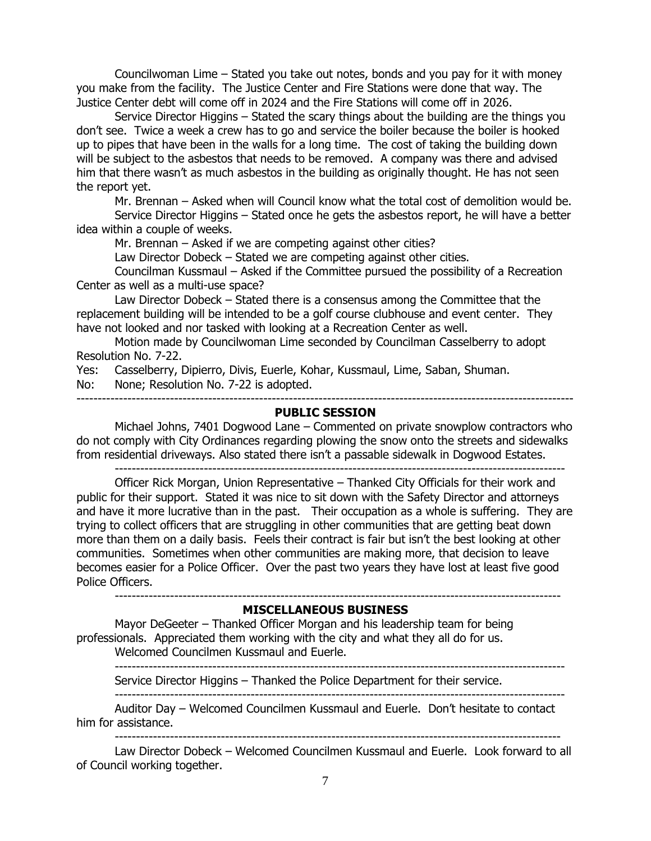Councilwoman Lime – Stated you take out notes, bonds and you pay for it with money you make from the facility. The Justice Center and Fire Stations were done that way. The Justice Center debt will come off in 2024 and the Fire Stations will come off in 2026.

Service Director Higgins – Stated the scary things about the building are the things you don't see. Twice a week a crew has to go and service the boiler because the boiler is hooked up to pipes that have been in the walls for a long time. The cost of taking the building down will be subject to the asbestos that needs to be removed. A company was there and advised him that there wasn't as much asbestos in the building as originally thought. He has not seen the report yet.

Mr. Brennan – Asked when will Council know what the total cost of demolition would be. Service Director Higgins – Stated once he gets the asbestos report, he will have a better idea within a couple of weeks.

Mr. Brennan – Asked if we are competing against other cities?

Law Director Dobeck – Stated we are competing against other cities.

Councilman Kussmaul – Asked if the Committee pursued the possibility of a Recreation Center as well as a multi-use space?

Law Director Dobeck – Stated there is a consensus among the Committee that the replacement building will be intended to be a golf course clubhouse and event center. They have not looked and nor tasked with looking at a Recreation Center as well.

Motion made by Councilwoman Lime seconded by Councilman Casselberry to adopt Resolution No. 7-22.

Yes: Casselberry, Dipierro, Divis, Euerle, Kohar, Kussmaul, Lime, Saban, Shuman.

No: None; Resolution No. 7-22 is adopted.

---------------------------------------------------------------------------------------------------------------------

### **PUBLIC SESSION**

Michael Johns, 7401 Dogwood Lane – Commented on private snowplow contractors who do not comply with City Ordinances regarding plowing the snow onto the streets and sidewalks from residential driveways. Also stated there isn't a passable sidewalk in Dogwood Estates.

---------------------------------------------------------------------------------------------------------- Officer Rick Morgan, Union Representative – Thanked City Officials for their work and public for their support. Stated it was nice to sit down with the Safety Director and attorneys and have it more lucrative than in the past. Their occupation as a whole is suffering. They are trying to collect officers that are struggling in other communities that are getting beat down more than them on a daily basis. Feels their contract is fair but isn't the best looking at other communities. Sometimes when other communities are making more, that decision to leave becomes easier for a Police Officer. Over the past two years they have lost at least five good Police Officers.

### **MISCELLANEOUS BUSINESS**

---------------------------------------------------------------------------------------------------------

Mayor DeGeeter – Thanked Officer Morgan and his leadership team for being professionals. Appreciated them working with the city and what they all do for us. Welcomed Councilmen Kussmaul and Euerle.

---------------------------------------------------------------------------------------------------------- Service Director Higgins – Thanked the Police Department for their service.

 $-$ 

Auditor Day – Welcomed Councilmen Kussmaul and Euerle. Don't hesitate to contact him for assistance.

---------------------------------------------------------------------------------------------------------

Law Director Dobeck – Welcomed Councilmen Kussmaul and Euerle. Look forward to all of Council working together.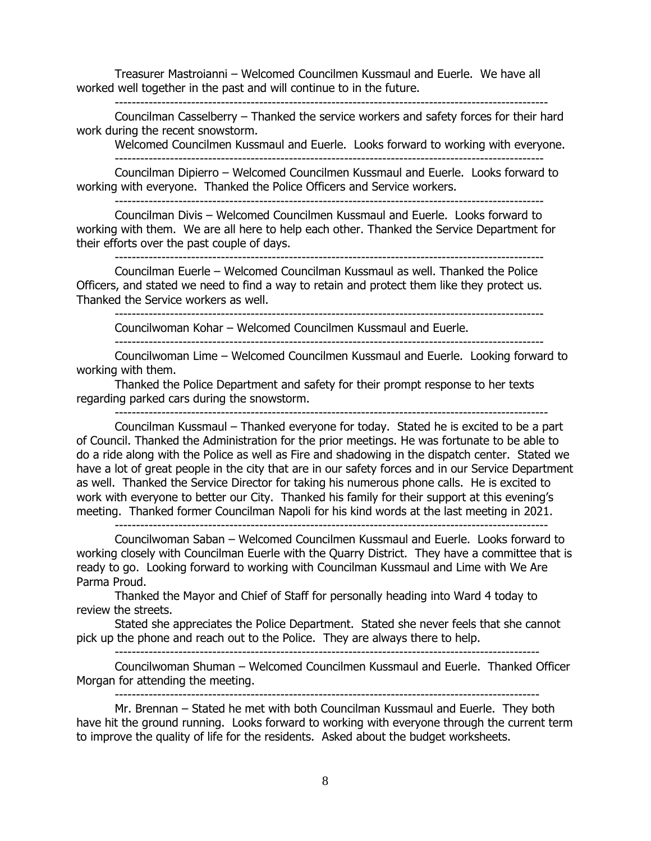Treasurer Mastroianni – Welcomed Councilmen Kussmaul and Euerle. We have all worked well together in the past and will continue to in the future. ------------------------------------------------------------------------------------------------------

Councilman Casselberry – Thanked the service workers and safety forces for their hard work during the recent snowstorm.

Welcomed Councilmen Kussmaul and Euerle. Looks forward to working with everyone.

-----------------------------------------------------------------------------------------------------

Councilman Dipierro – Welcomed Councilmen Kussmaul and Euerle. Looks forward to working with everyone. Thanked the Police Officers and Service workers.

-----------------------------------------------------------------------------------------------------

Councilman Divis – Welcomed Councilmen Kussmaul and Euerle. Looks forward to working with them. We are all here to help each other. Thanked the Service Department for their efforts over the past couple of days.

-----------------------------------------------------------------------------------------------------

Councilman Euerle – Welcomed Councilman Kussmaul as well. Thanked the Police Officers, and stated we need to find a way to retain and protect them like they protect us. Thanked the Service workers as well.

-----------------------------------------------------------------------------------------------------

Councilwoman Kohar – Welcomed Councilmen Kussmaul and Euerle.

-----------------------------------------------------------------------------------------------------

Councilwoman Lime – Welcomed Councilmen Kussmaul and Euerle. Looking forward to working with them.

Thanked the Police Department and safety for their prompt response to her texts regarding parked cars during the snowstorm.

------------------------------------------------------------------------------------------------------

Councilman Kussmaul – Thanked everyone for today. Stated he is excited to be a part of Council. Thanked the Administration for the prior meetings. He was fortunate to be able to do a ride along with the Police as well as Fire and shadowing in the dispatch center. Stated we have a lot of great people in the city that are in our safety forces and in our Service Department as well. Thanked the Service Director for taking his numerous phone calls. He is excited to work with everyone to better our City. Thanked his family for their support at this evening's meeting. Thanked former Councilman Napoli for his kind words at the last meeting in 2021.

------------------------------------------------------------------------------------------------------

Councilwoman Saban – Welcomed Councilmen Kussmaul and Euerle. Looks forward to working closely with Councilman Euerle with the Quarry District. They have a committee that is ready to go. Looking forward to working with Councilman Kussmaul and Lime with We Are Parma Proud.

Thanked the Mayor and Chief of Staff for personally heading into Ward 4 today to review the streets.

Stated she appreciates the Police Department. Stated she never feels that she cannot pick up the phone and reach out to the Police. They are always there to help.

----------------------------------------------------------------------------------------------------

Councilwoman Shuman – Welcomed Councilmen Kussmaul and Euerle. Thanked Officer Morgan for attending the meeting. ----------------------------------------------------------------------------------------------------

Mr. Brennan – Stated he met with both Councilman Kussmaul and Euerle. They both have hit the ground running. Looks forward to working with everyone through the current term to improve the quality of life for the residents. Asked about the budget worksheets.